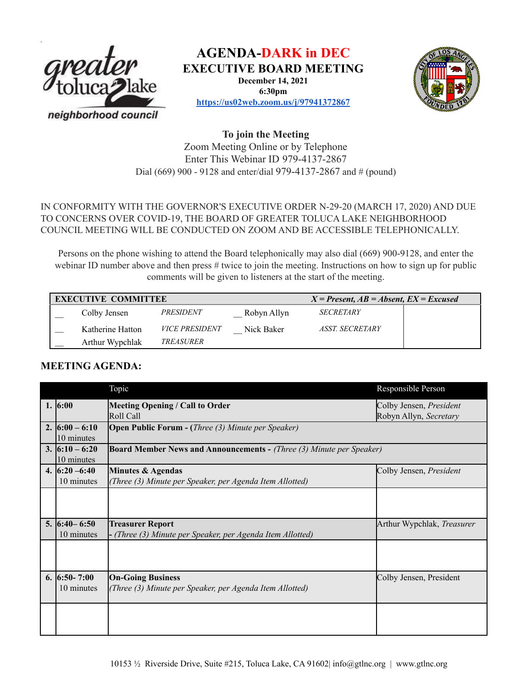

**AGENDA-DARK in DEC**

**EXECUTIVE BOARD MEETING**

**December 14, 2021 6:30pm**



**<https://us02web.zoom.us/j/97941372867>**

## **To join the Meeting** Zoom Meeting Online or by Telephone Enter This Webinar ID 979-4137-2867 Dial (669) 900 - 9128 and enter/dial 979-4137-2867 and # (pound)

### IN CONFORMITY WITH THE GOVERNOR'S EXECUTIVE ORDER N-29-20 (MARCH 17, 2020) AND DUE TO CONCERNS OVER COVID-19, THE BOARD OF GREATER TOLUCA LAKE NEIGHBORHOOD COUNCIL MEETING WILL BE CONDUCTED ON ZOOM AND BE ACCESSIBLE TELEPHONICALLY.

Persons on the phone wishing to attend the Board telephonically may also dial (669) 900-9128, and enter the webinar ID number above and then press # twice to join the meeting. Instructions on how to sign up for public comments will be given to listeners at the start of the meeting.

| <b>EXECUTIVE COMMITTEE</b> |                  |                       |             | $X = Present, AB = Absent, EX = Excused$ |  |
|----------------------------|------------------|-----------------------|-------------|------------------------------------------|--|
|                            | Colby Jensen     | PRESIDENT             | Robyn Allyn | <b>SECRETARY</b>                         |  |
|                            | Katherine Hatton | <i>VICE PRESIDENT</i> | Nick Baker  | <i><b>ASST. SECRETARY</b></i>            |  |
|                            | Arthur Wypchlak  | TREASURER             |             |                                          |  |

# **MEETING AGENDA:**

|                                               | Topic                                                                                 | Responsible Person                                |
|-----------------------------------------------|---------------------------------------------------------------------------------------|---------------------------------------------------|
| 1. $6:00$                                     | Meeting Opening / Call to Order<br>Roll Call                                          | Colby Jensen, President<br>Robyn Allyn, Secretary |
| 2. $6:00 - 6:10$<br>10 minutes                | <b>Open Public Forum - (Three (3) Minute per Speaker)</b>                             |                                                   |
| 3. $6:10 - 6:20$<br>10 minutes                | <b>Board Member News and Announcements - (Three (3) Minute per Speaker)</b>           |                                                   |
| 4. $\left  6:20 - 6:40 \right $<br>10 minutes | Minutes & Agendas<br>(Three (3) Minute per Speaker, per Agenda Item Allotted)         | Colby Jensen, President                           |
|                                               |                                                                                       |                                                   |
| $5.  6:40 - 6:50 $<br>10 minutes              | <b>Treasurer Report</b><br>- (Three (3) Minute per Speaker, per Agenda Item Allotted) | Arthur Wypchlak, Treasurer                        |
|                                               |                                                                                       |                                                   |
| 6. $6:50 - 7:00$<br>10 minutes                | <b>On-Going Business</b><br>(Three (3) Minute per Speaker, per Agenda Item Allotted)  | Colby Jensen, President                           |
|                                               |                                                                                       |                                                   |